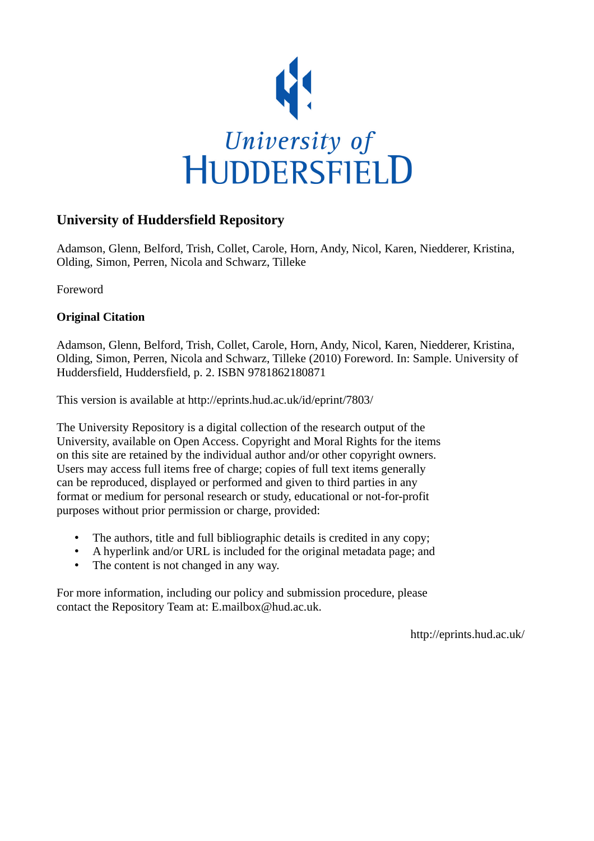

## **University of Huddersfield Repository**

Adamson, Glenn, Belford, Trish, Collet, Carole, Horn, Andy, Nicol, Karen, Niedderer, Kristina, Olding, Simon, Perren, Nicola and Schwarz, Tilleke

Foreword

### **Original Citation**

Adamson, Glenn, Belford, Trish, Collet, Carole, Horn, Andy, Nicol, Karen, Niedderer, Kristina, Olding, Simon, Perren, Nicola and Schwarz, Tilleke (2010) Foreword. In: Sample. University of Huddersfield, Huddersfield, p. 2. ISBN 9781862180871

This version is available at http://eprints.hud.ac.uk/id/eprint/7803/

The University Repository is a digital collection of the research output of the University, available on Open Access. Copyright and Moral Rights for the items on this site are retained by the individual author and/or other copyright owners. Users may access full items free of charge; copies of full text items generally can be reproduced, displayed or performed and given to third parties in any format or medium for personal research or study, educational or not-for-profit purposes without prior permission or charge, provided:

- The authors, title and full bibliographic details is credited in any copy;
- A hyperlink and/or URL is included for the original metadata page; and
- The content is not changed in any way.

For more information, including our policy and submission procedure, please contact the Repository Team at: E.mailbox@hud.ac.uk.

http://eprints.hud.ac.uk/